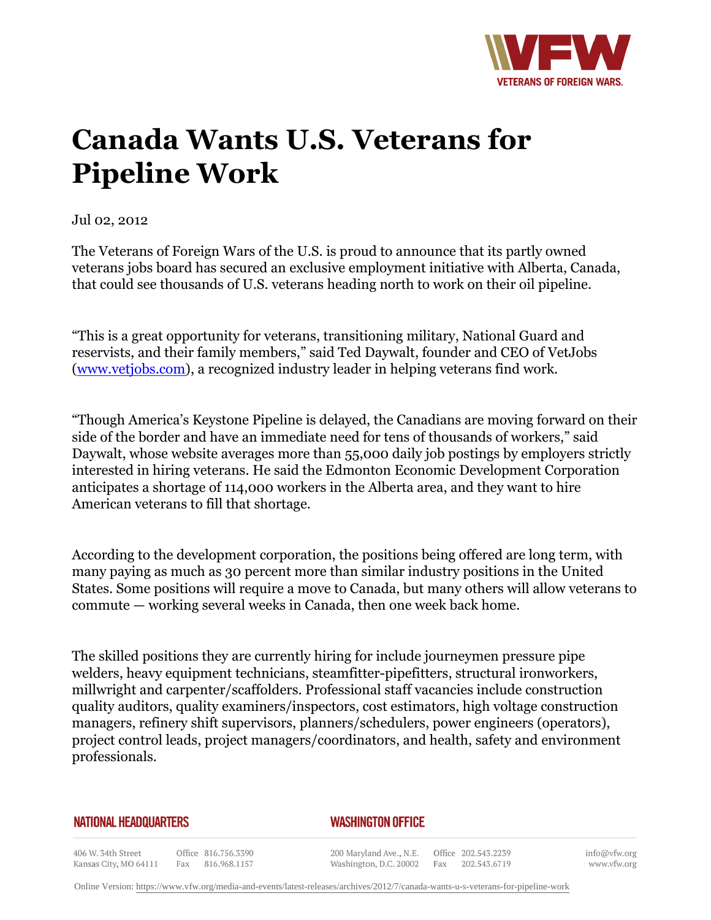

## **Canada Wants U.S. Veterans for Pipeline Work**

Jul 02, 2012

The Veterans of Foreign Wars of the U.S. is proud to announce that its partly owned veterans jobs board has secured an exclusive employment initiative with Alberta, Canada, that could see thousands of U.S. veterans heading north to work on their oil pipeline.

"This is a great opportunity for veterans, transitioning military, National Guard and reservists, and their family members," said Ted Daywalt, founder and CEO of VetJobs [\(www.vetjobs.com\)](http:http://www.vetjobs.com), a recognized industry leader in helping veterans find work.

"Though America's Keystone Pipeline is delayed, the Canadians are moving forward on their side of the border and have an immediate need for tens of thousands of workers," said Daywalt, whose website averages more than 55,000 daily job postings by employers strictly interested in hiring veterans. He said the Edmonton Economic Development Corporation anticipates a shortage of 114,000 workers in the Alberta area, and they want to hire American veterans to fill that shortage.

According to the development corporation, the positions being offered are long term, with many paying as much as 30 percent more than similar industry positions in the United States. Some positions will require a move to Canada, but many others will allow veterans to commute — working several weeks in Canada, then one week back home.

The skilled positions they are currently hiring for include journeymen pressure pipe welders, heavy equipment technicians, steamfitter-pipefitters, structural ironworkers, millwright and carpenter/scaffolders. Professional staff vacancies include construction quality auditors, quality examiners/inspectors, cost estimators, high voltage construction managers, refinery shift supervisors, planners/schedulers, power engineers (operators), project control leads, project managers/coordinators, and health, safety and environment professionals.

## **NATIONAL HEADQUARTERS**

## *WASHINGTON OFFICE*

406 W. 34th Street Office 816.756.3390 Fax 816.968.1157 Kansas City, MO 64111

200 Maryland Ave., N.E. Washington, D.C. 20002

Office 202.543.2239 Fax 202.543.6719 info@vfw.org www.vfw.org

Online Version:<https://www.vfw.org/media-and-events/latest-releases/archives/2012/7/canada-wants-u-s-veterans-for-pipeline-work>